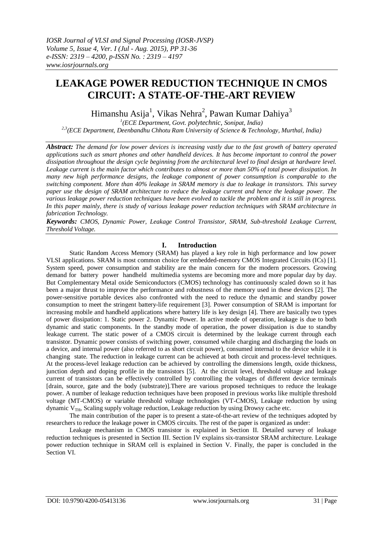# **LEAKAGE POWER REDUCTION TECHNIQUE IN CMOS CIRCUIT: A STATE-OF-THE-ART REVIEW**

Himanshu Asija<sup>1</sup>, Vikas Nehra<sup>2</sup>, Pawan Kumar Dahiya<sup>3</sup>

*1 (ECE Department, Govt. polytechnic, Sonipat, India) 2,3(ECE Department, Deenbandhu Chhotu Ram University of Science & Technology, Murthal, India)*

*Abstract: The demand for low power devices is increasing vastly due to the fast growth of battery operated applications such as smart phones and other handheld devices. It has become important to control the power dissipation throughout the design cycle beginning from the architectural level to final design at hardware level. Leakage current is the main factor which contributes to almost or more than 50% of total power dissipation. In many new high performance designs, the leakage component of power consumption is comparable to the switching component. More than 40% leakage in SRAM memory is due to leakage in transistors. This survey paper use the design of SRAM architecture to reduce the leakage current and hence the leakage power. The various leakage power reduction techniques have been evolved to tackle the problem and it is still in progress. In this paper mainly, there is study of various leakage power reduction techniques with SRAM architecture in fabrication Technology.*

*Keywords: CMOS, Dynamic Power, Leakage Control Transistor, SRAM, Sub-threshold Leakage Current, Threshold Voltage.*

# **I. Introduction**

Static Random Access Memory (SRAM) has played a key role in high performance and low power VLSI applications. SRAM is most common choice for embedded-memory CMOS Integrated Circuits (ICs) [1]. System speed, power consumption and stability are the main concern for the modern processors. Growing demand for battery power handheld multimedia systems are becoming more and more popular day by day. But Complementary Metal oxide Semiconductors (CMOS) technology has continuously scaled down so it has been a major thrust to improve the performance and robustness of the memory used in these devices [2]. The power-sensitive portable devices also confronted with the need to reduce the dynamic and standby power consumption to meet the stringent battery-life requirement [3]. Power consumption of SRAM is important for increasing mobile and handheld applications where battery life is key design [4]. There are basically two types of power dissipation: 1. Static power 2. Dynamic Power. In active mode of operation, leakage is due to both dynamic and static components. In the standby mode of operation, the power dissipation is due to standby leakage current. The static power of a CMOS circuit is determined by the leakage current through each transistor. Dynamic power consists of switching power, consumed while charging and discharging the loads on a device, and internal power (also referred to as short circuit power), consumed internal to the device while it is changing state. The reduction in leakage current can be achieved at both circuit and process-level techniques. At the process-level leakage reduction can be achieved by controlling the dimensions length, oxide thickness, junction depth and doping profile in the transistors [5]. At the circuit level, threshold voltage and leakage current of transistors can be effectively controlled by controlling the voltages of different device terminals [drain, source, gate and the body (substrate)].There are various proposed techniques to reduce the leakage power. A number of leakage reduction techniques have been proposed in previous works like multiple threshold voltage (MT-CMOS) or variable threshold voltage technologies (VT-CMOS), Leakage reduction by using dynamic  $V<sub>TH</sub>$ , Scaling supply voltage reduction, Leakage reduction by using Drowsy cache etc.

The main contribution of the paper is to present a state-of-the-art review of the techniques adopted by researchers to reduce the leakage power in CMOS circuits. The rest of the paper is organized as under:

Leakage mechanism in CMOS transistor is explained in Section II. Detailed survey of leakage reduction techniques is presented in Section III. Section IV explains six-transistor SRAM architecture. Leakage power reduction technique in SRAM cell is explained in Section V. Finally, the paper is concluded in the Section VI.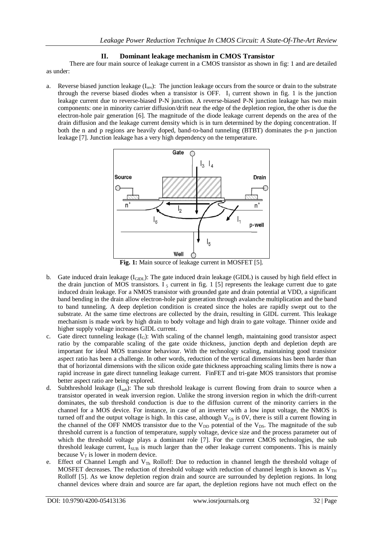# **II. Dominant leakage mechanism in CMOS Transistor**

There are four main source of leakage current in a CMOS transistor as shown in fig: 1 and are detailed as under:

a. Reverse biased junction leakage  $(I_{rev})$ : The junction leakage occurs from the source or drain to the substrate through the reverse biased diodes when a transistor is OFF.  $I_1$  current shown in fig. 1 is the junction leakage current due to reverse-biased P-N junction. A reverse-biased P-N junction leakage has two main components: one in minority carrier diffusion/drift near the edge of the depletion region, the other is due the electron-hole pair generation [6]. The magnitude of the diode leakage current depends on the area of the drain diffusion and the leakage current density which is in turn determined by the doping concentration. If both the n and p regions are heavily doped, band-to-band tunneling (BTBT) dominates the p-n junction leakage [7]. Junction leakage has a very high dependency on the temperature.



**Fig. 1:** Main source of leakage current in MOSFET [5].

- b. Gate induced drain leakage  $(I<sub>GIDL</sub>)$ : The gate induced drain leakage (GIDL) is caused by high field effect in the drain junction of MOS transistors.  $I_5$  current in fig. 1 [5] represents the leakage current due to gate induced drain leakage. For a NMOS transistor with grounded gate and drain potential at VDD, a significant band bending in the drain allow electron-hole pair generation through avalanche multiplication and the band to band tunneling. A deep depletion condition is created since the holes are rapidly swept out to the substrate. At the same time electrons are collected by the drain, resulting in GIDL current. This leakage mechanism is made work by high drain to body voltage and high drain to gate voltage. Thinner oxide and higher supply voltage increases GIDL current.
- c. Gate direct tunneling leakage (I<sub>G</sub>): With scaling of the channel length, maintaining good transistor aspect ratio by the comparable scaling of the gate oxide thickness, junction depth and depletion depth are important for ideal MOS transistor behaviour. With the technology scaling, maintaining good transistor aspect ratio has been a challenge. In other words, reduction of the vertical dimensions has been harder than that of horizontal dimensions with the silicon oxide gate thickness approaching scaling limits there is now a rapid increase in gate direct tunneling leakage current. FinFET and tri-gate MOS transistors that promise better aspect ratio are being explored.
- d. Subthreshold leakage (I<sub>sub</sub>): The sub threshold leakage is current flowing from drain to source when a transistor operated in weak inversion region. Unlike the strong inversion region in which the drift-current dominates, the sub threshold conduction is due to the diffusion current of the minority carriers in the channel for a MOS device. For instance, in case of an inverter with a low input voltage, the NMOS is turned off and the output voltage is high. In this case, although  $V_{GS}$  is 0V, there is still a current flowing in the channel of the OFF NMOS transistor due to the  $V_{DD}$  potential of the  $V_{DS}$ . The magnitude of the sub threshold current is a function of temperature, supply voltage, device size and the process parameter out of which the threshold voltage plays a dominant role [7]. For the current CMOS technologies, the sub threshold leakage current,  $I_{SUB}$  is much larger than the other leakage current components. This is mainly because  $V_T$  is lower in modern device.
- e. Effect of Channel Length and V<sub>Th</sub> Rolloff: Due to reduction in channel length the threshold voltage of MOSFET decreases. The reduction of threshold voltage with reduction of channel length is known as  $V_{TH}$ Rolloff [5]. As we know depletion region drain and source are surrounded by depletion regions. In long channel devices where drain and source are far apart, the depletion regions have not much effect on the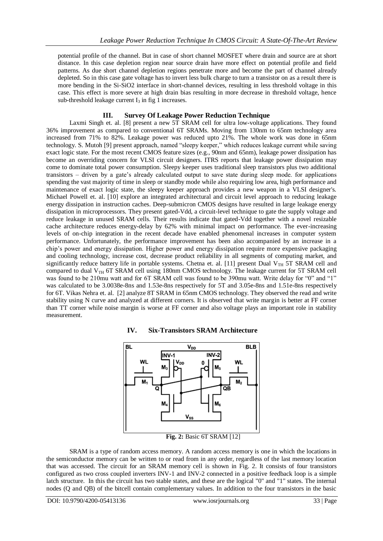potential profile of the channel. But in case of short channel MOSFET where drain and source are at short distance. In this case depletion region near source drain have more effect on potential profile and field patterns. As due short channel depletion regions penetrate more and become the part of channel already depleted. So in this case gate voltage has to invert less bulk charge to turn a transistor on as a result there is more bending in the Si-SiO2 interface in short-channel devices, resulting in less threshold voltage in this case. This effect is more severe at high drain bias resulting in more decrease in threshold voltage, hence sub-threshold leakage current  $I_3$  in fig 1 increases.

# **III. Survey Of Leakage Power Reduction Technique**

Laxmi Singh et. al. [8] present a new 5T SRAM cell for ultra low-voltage applications. They found 36% improvement as compared to conventional 6T SRAMs. Moving from 130nm to 65nm technology area increased from 71% to 82%. Leakage power was reduced upto 21%. The whole work was done in 65nm technology. S. Mutoh [9] present approach, named "sleepy keeper," which reduces leakage current while saving exact logic state. For the most recent CMOS feature sizes (e.g., 90nm and 65nm), leakage power dissipation has become an overriding concern for VLSI circuit designers. ITRS reports that leakage power dissipation may come to dominate total power consumption. Sleepy keeper uses traditional sleep transistors plus two additional transistors – driven by a gate"s already calculated output to save state during sleep mode. for applications spending the vast majority of time in sleep or standby mode while also requiring low area, high performance and maintenance of exact logic state, the sleepy keeper approach provides a new weapon in a VLSI designer's. Michael Powell et. al. [10] explore an integrated architectural and circuit level approach to reducing leakage energy dissipation in instruction caches. Deep-submicron CMOS designs have resulted in large leakage energy dissipation in microprocessors. They present gated-Vdd, a circuit-level technique to gate the supply voltage and reduce leakage in unused SRAM cells. Their results indicate that gated-Vdd together with a novel resizable cache architecture reduces energy-delay by 62% with minimal impact on performance. The ever-increasing levels of on-chip integration in the recent decade have enabled phenomenal increases in computer system performance. Unfortunately, the performance improvement has been also accompanied by an increase in a chip"s power and energy dissipation. Higher power and energy dissipation require more expensive packaging and cooling technology, increase cost, decrease product reliability in all segments of computing market, and significantly reduce battery life in portable systems. Chetna et. al. [11] present Dual V<sub>TH</sub> 5T SRAM cell and compared to dual  $V_{TH}$  6T SRAM cell using 180nm CMOS technology. The leakage current for 5T SRAM cell was found to be 210mu watt and for 6T SRAM cell was found to be 390mu watt. Write delay for "0" and "1" was calculated to be 3.0038e-8ns and 1.53e-8ns respectively for 5T and 3.05e-8ns and 1.51e-8ns respectively for 6T. Vikas Nehra et. al. [2] analyze 8T SRAM in 65nm CMOS technology. They observed the read and write stability using N curve and analyzed at different corners. It is observed that write margin is better at FF corner than TT corner while noise margin is worse at FF corner and also voltage plays an important role in stability measurement.



# **IV. Six-Transistors SRAM Architecture**

**Fig. 2:** Basic 6T SRAM [12]

SRAM is a type of random access memory. A random access memory is one in which the locations in the semiconductor memory can be written to or read from in any order, regardless of the last memory location that was accessed. The circuit for an SRAM memory cell is shown in Fig. 2. It consists of four transistors configured as two cross coupled inverters INV-1 and INV-2 connected in a positive feedback loop is a simple latch structure. In this the circuit has two stable states, and these are the logical "0" and "1" states. The internal nodes (Q and QB) of the bitcell contain complementary values. In addition to the four transistors in the basic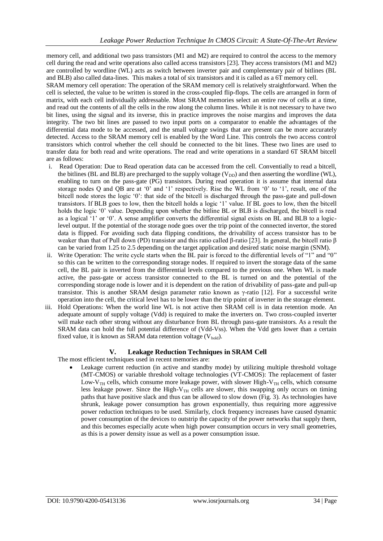memory cell, and additional two pass transistors (M1 and M2) are required to control the access to the memory cell during the read and write operations also called access transistors [23]. They access transistors (M1 and M2) are controlled by wordline (WL) acts as switch between inverter pair and complementary pair of bitlines (BL and BLB) also called data-lines. This makes a total of six transistors and it is called as a 6T memory cell.

SRAM memory cell operation: The operation of the SRAM memory cell is relatively straightforward. When the cell is selected, the value to be written is stored in the cross-coupled flip-flops. The cells are arranged in form of matrix, with each cell individually addressable. Most SRAM memories select an entire row of cells at a time, and read out the contents of all the cells in the row along the column lines. While it is not necessary to have two bit lines, using the signal and its inverse, this in practice improves the noise margins and improves the data integrity. The two bit lines are passed to two input ports on a comparator to enable the advantages of the differential data mode to be accessed, and the small voltage swings that are present can be more accurately detected. Access to the SRAM memory cell is enabled by the Word Line. This controls the two access control transistors which control whether the cell should be connected to the bit lines. These two lines are used to transfer data for both read and write operations. The read and write operations in a standard 6T SRAM bitcell are as follows:

- i. Read Operation: Due to Read operation data can be accessed from the cell. Conventially to read a bitcell, the bitlines (BL and BLB) are precharged to the supply voltage ( $V_{DD}$ ) and then asserting the wordline (WL), enabling to turn on the pass-gate (PG) transistors. During read operation it is assume that internal data storage nodes Q and QB are at '0' and '1' respectively. Rise the WL from '0' to '1', result, one of the bitcell node stores the logic "0": that side of the bitcell is discharged through the pass-gate and pull-down transistors. If BLB goes to low, then the bitcell holds a logic "1" value. If BL goes to low, then the bitcell holds the logic '0' value. Depending upon whether the bitline BL or BLB is discharged, the bitcell is read as a logical "1" or "0". A sense amplifier converts the differential signal exists on BL and BLB to a logiclevel output. If the potential of the storage node goes over the trip point of the connected invertor, the stored data is flipped. For avoiding such data flipping conditions, the drivability of access transistor has to be weaker than that of Pull down (PD) transistor and this ratio called β-ratio [23]. In general, the bitcell ratio β can be varied from 1.25 to 2.5 depending on the target application and desired static noise margin (SNM).
- ii. Write Operation: The write cycle starts when the BL pair is forced to the differential levels of "1" and "0" so this can be written to the corresponding storage nodes. If required to invert the storage data of the same cell, the BL pair is inverted from the differential levels compared to the previous one. When WL is made active, the pass-gate or access transistor connected to the BL is turned on and the potential of the corresponding storage node is lower and it is dependent on the ration of drivability of pass-gate and pull-up transistor. This is another SRAM design parameter ratio known as γ-ratio [12]. For a successful write operation into the cell, the critical level has to be lower than the trip point of inverter in the storage element.
- iii. Hold Operations: When the world line WL is not active then SRAM cell is in data retention mode. An adequate amount of supply voltage (Vdd) is required to make the inverters on. Two cross-coupled inverter will make each other strong without any disturbance from BL through pass-gate transistors. As a result the SRAM data can hold the full potential difference of (Vdd-Vss). When the Vdd gets lower than a certain fixed value, it is known as SRAM data retention voltage  $(V_{hold})$ .

# **V. Leakage Reduction Techniques in SRAM Cell**

The most efficient techniques used in recent memories are:

 Leakage current reduction (in active and standby mode) by utilizing multiple threshold voltage (MT-CMOS) or variable threshold voltage technologies (VT-CMOS): The replacement of faster Low-V<sub>TH</sub> cells, which consume more leakage power, with slower High-V<sub>TH</sub> cells, which consume less leakage power. Since the High- $V<sub>TH</sub>$  cells are slower, this swapping only occurs on timing paths that have positive slack and thus can be allowed to slow down (Fig. 3). As technologies have shrunk, leakage power consumption has grown exponentially, thus requiring more aggressive power reduction techniques to be used. Similarly, clock frequency increases have caused dynamic power consumption of the devices to outstrip the capacity of the power networks that supply them, and this becomes especially acute when high power consumption occurs in very small geometries, as this is a power density issue as well as a power consumption issue.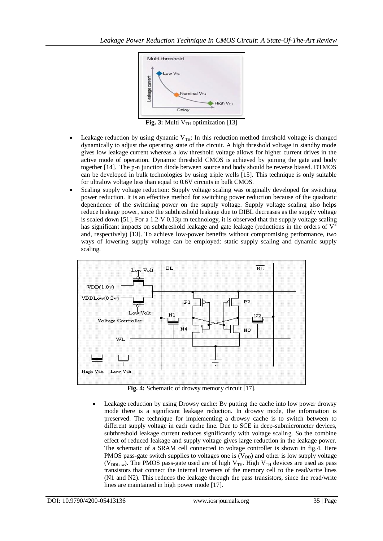

**Fig. 3:** Multi V<sub>TH</sub> optimization [13]

- Leakage reduction by using dynamic  $V_{TH}$ : In this reduction method threshold voltage is changed dynamically to adjust the operating state of the circuit. A high threshold voltage in standby mode gives low leakage current whereas a low threshold voltage allows for higher current drives in the active mode of operation. Dynamic threshold CMOS is achieved by joining the gate and body together [14]. The p-n junction diode between source and body should be reverse biased. DTMOS can be developed in bulk technologies by using triple wells [15]. This technique is only suitable for ultralow voltage less than equal to 0.6V circuits in bulk CMOS.
- Scaling supply voltage reduction: Supply voltage scaling was originally developed for switching power reduction. It is an effective method for switching power reduction because of the quadratic dependence of the switching power on the supply voltage. Supply voltage scaling also helps reduce leakage power, since the subthreshold leakage due to DIBL decreases as the supply voltage is scaled down [51]. For a 1.2-V 0.13µ m technology, it is observed that the supply voltage scaling has significant impacts on subthreshold leakage and gate leakage (reductions in the orders of  $V<sup>3</sup>$ and, respectively) [13]. To achieve low-power benefits without compromising performance, two ways of lowering supply voltage can be employed: static supply scaling and dynamic supply scaling.



**Fig. 4:** Schematic of drowsy memory circuit [17].

 Leakage reduction by using Drowsy cache: By putting the cache into low power drowsy mode there is a significant leakage reduction. In drowsy mode, the information is preserved. The technique for implementing a drowsy cache is to switch between to different supply voltage in each cache line. Due to SCE in deep-submicrometer devices, subthreshold leakage current reduces significantly with voltage scaling. So the combine effect of reduced leakage and supply voltage gives large reduction in the leakage power. The schematic of a SRAM cell connected to voltage controller is shown in fig.4. Here PMOS pass-gate switch supplies to voltages one is  $(V_{DD})$  and other is low supply voltage (V<sub>DDLow</sub>). The PMOS pass-gate used are of high V<sub>TH</sub>. High V<sub>TH</sub> devices are used as pass transistors that connect the internal inverters of the memory cell to the read/write lines (N1 and N2). This reduces the leakage through the pass transistors, since the read/write lines are maintained in high power mode [17].